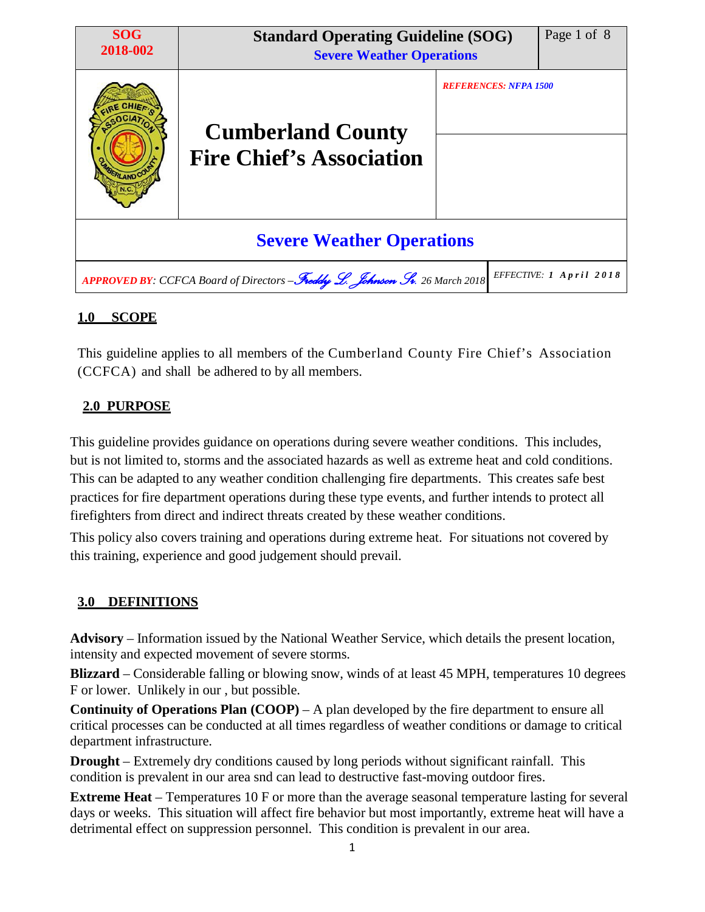| <b>SOG</b><br>2018-002           | <b>Standard Operating Guideline (SOG)</b><br><b>Severe Weather Operations</b> |                              | Page 1 of 8             |  |  |  |  |  |  |
|----------------------------------|-------------------------------------------------------------------------------|------------------------------|-------------------------|--|--|--|--|--|--|
| <b>PLAND CO</b>                  | <b>Cumberland County</b><br><b>Fire Chief's Association</b>                   | <b>REFERENCES: NFPA 1500</b> |                         |  |  |  |  |  |  |
| <b>Severe Weather Operations</b> |                                                                               |                              |                         |  |  |  |  |  |  |
|                                  | APPROVED BY: CCFCA Board of Directors - Freddy L. Johnson Sr. 26 March 2018   |                              | EFFECTIVE: 1 April 2018 |  |  |  |  |  |  |

# **1.0 SCOPE**

This guideline applies to all members of the Cumberland County Fire Chief's Association (CCFCA) and shall be adhered to by all members.

## **2.0 PURPOSE**

This guideline provides guidance on operations during severe weather conditions. This includes, but is not limited to, storms and the associated hazards as well as extreme heat and cold conditions. This can be adapted to any weather condition challenging fire departments. This creates safe best practices for fire department operations during these type events, and further intends to protect all firefighters from direct and indirect threats created by these weather conditions.

This policy also covers training and operations during extreme heat. For situations not covered by this training, experience and good judgement should prevail.

## **3.0 DEFINITIONS**

**Advisory** – Information issued by the National Weather Service, which details the present location, intensity and expected movement of severe storms.

**Blizzard** – Considerable falling or blowing snow, winds of at least 45 MPH, temperatures 10 degrees F or lower. Unlikely in our , but possible.

**Continuity of Operations Plan (COOP)** – A plan developed by the fire department to ensure all critical processes can be conducted at all times regardless of weather conditions or damage to critical department infrastructure.

**Drought** – Extremely dry conditions caused by long periods without significant rainfall. This condition is prevalent in our area snd can lead to destructive fast-moving outdoor fires.

**Extreme Heat** – Temperatures 10 F or more than the average seasonal temperature lasting for several days or weeks. This situation will affect fire behavior but most importantly, extreme heat will have a detrimental effect on suppression personnel. This condition is prevalent in our area.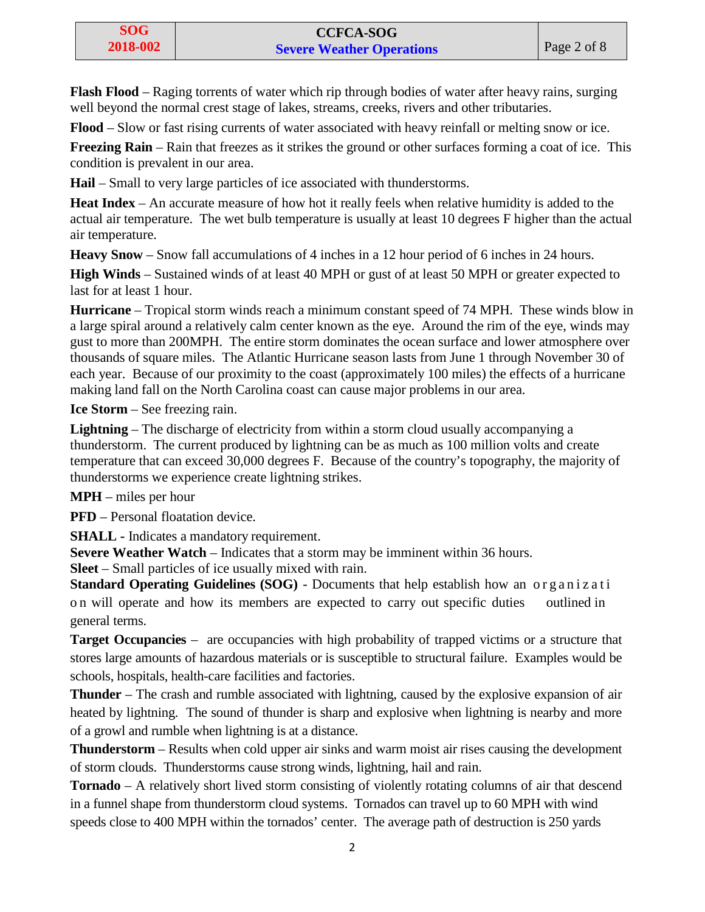**Flash Flood** – Raging torrents of water which rip through bodies of water after heavy rains, surging well beyond the normal crest stage of lakes, streams, creeks, rivers and other tributaries.

**Flood** – Slow or fast rising currents of water associated with heavy reinfall or melting snow or ice.

**Freezing Rain** – Rain that freezes as it strikes the ground or other surfaces forming a coat of ice. This condition is prevalent in our area.

**Hail** – Small to very large particles of ice associated with thunderstorms.

**Heat Index** – An accurate measure of how hot it really feels when relative humidity is added to the actual air temperature. The wet bulb temperature is usually at least 10 degrees F higher than the actual air temperature.

**Heavy Snow** – Snow fall accumulations of 4 inches in a 12 hour period of 6 inches in 24 hours.

**High Winds** – Sustained winds of at least 40 MPH or gust of at least 50 MPH or greater expected to last for at least 1 hour.

**Hurricane** – Tropical storm winds reach a minimum constant speed of 74 MPH. These winds blow in a large spiral around a relatively calm center known as the eye. Around the rim of the eye, winds may gust to more than 200MPH. The entire storm dominates the ocean surface and lower atmosphere over thousands of square miles. The Atlantic Hurricane season lasts from June 1 through November 30 of each year. Because of our proximity to the coast (approximately 100 miles) the effects of a hurricane making land fall on the North Carolina coast can cause major problems in our area.

**Ice Storm** – See freezing rain.

**Lightning** – The discharge of electricity from within a storm cloud usually accompanying a thunderstorm. The current produced by lightning can be as much as 100 million volts and create temperature that can exceed 30,000 degrees F. Because of the country's topography, the majority of thunderstorms we experience create lightning strikes.

**MPH** – miles per hour

**PFD** – Personal floatation device.

**SHALL -** Indicates a mandatory requirement.

**Severe Weather Watch** – Indicates that a storm may be imminent within 36 hours.

**Sleet** – Small particles of ice usually mixed with rain.

**Standard Operating Guidelines (SOG) - Documents that help establish how an organizati** o n will operate and how its members are expected to carry out specific duties outlined in general terms.

**Target Occupancies** – are occupancies with high probability of trapped victims or a structure that stores large amounts of hazardous materials or is susceptible to structural failure. Examples would be schools, hospitals, health-care facilities and factories.

**Thunder** – The crash and rumble associated with lightning, caused by the explosive expansion of air heated by lightning. The sound of thunder is sharp and explosive when lightning is nearby and more of a growl and rumble when lightning is at a distance.

**Thunderstorm** – Results when cold upper air sinks and warm moist air rises causing the development of storm clouds. Thunderstorms cause strong winds, lightning, hail and rain.

**Tornado** – A relatively short lived storm consisting of violently rotating columns of air that descend in a funnel shape from thunderstorm cloud systems. Tornados can travel up to 60 MPH with wind speeds close to 400 MPH within the tornados' center. The average path of destruction is 250 yards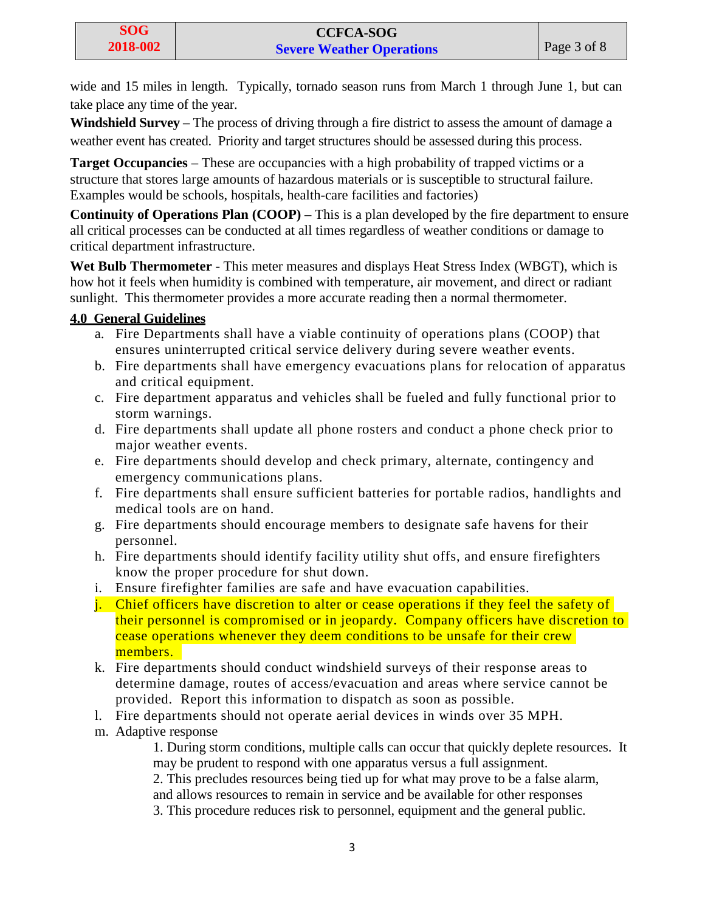wide and 15 miles in length. Typically, tornado season runs from March 1 through June 1, but can take place any time of the year.

**Windshield Survey** – The process of driving through a fire district to assess the amount of damage a weather event has created. Priority and target structures should be assessed during this process.

**Target Occupancies** – These are occupancies with a high probability of trapped victims or a structure that stores large amounts of hazardous materials or is susceptible to structural failure. Examples would be schools, hospitals, health-care facilities and factories)

**Continuity of Operations Plan (COOP)** – This is a plan developed by the fire department to ensure all critical processes can be conducted at all times regardless of weather conditions or damage to critical department infrastructure.

**Wet Bulb Thermometer** - This meter measures and displays Heat Stress Index (WBGT), which is how hot it feels when humidity is combined with temperature, air movement, and direct or radiant sunlight. This thermometer provides a more accurate reading then a normal thermometer.

## **4.0 General Guidelines**

- a. Fire Departments shall have a viable continuity of operations plans (COOP) that ensures uninterrupted critical service delivery during severe weather events.
- b. Fire departments shall have emergency evacuations plans for relocation of apparatus and critical equipment.
- c. Fire department apparatus and vehicles shall be fueled and fully functional prior to storm warnings.
- d. Fire departments shall update all phone rosters and conduct a phone check prior to major weather events.
- e. Fire departments should develop and check primary, alternate, contingency and emergency communications plans.
- f. Fire departments shall ensure sufficient batteries for portable radios, handlights and medical tools are on hand.
- g. Fire departments should encourage members to designate safe havens for their personnel.
- h. Fire departments should identify facility utility shut offs, and ensure firefighters know the proper procedure for shut down.
- i. Ensure firefighter families are safe and have evacuation capabilities.
- j. Chief officers have discretion to alter or cease operations if they feel the safety of their personnel is compromised or in jeopardy. Company officers have discretion to cease operations whenever they deem conditions to be unsafe for their crew members.
- k. Fire departments should conduct windshield surveys of their response areas to determine damage, routes of access/evacuation and areas where service cannot be provided. Report this information to dispatch as soon as possible.
- l. Fire departments should not operate aerial devices in winds over 35 MPH.
- m. Adaptive response

1. During storm conditions, multiple calls can occur that quickly deplete resources. It may be prudent to respond with one apparatus versus a full assignment.

2. This precludes resources being tied up for what may prove to be a false alarm,

and allows resources to remain in service and be available for other responses

3. This procedure reduces risk to personnel, equipment and the general public.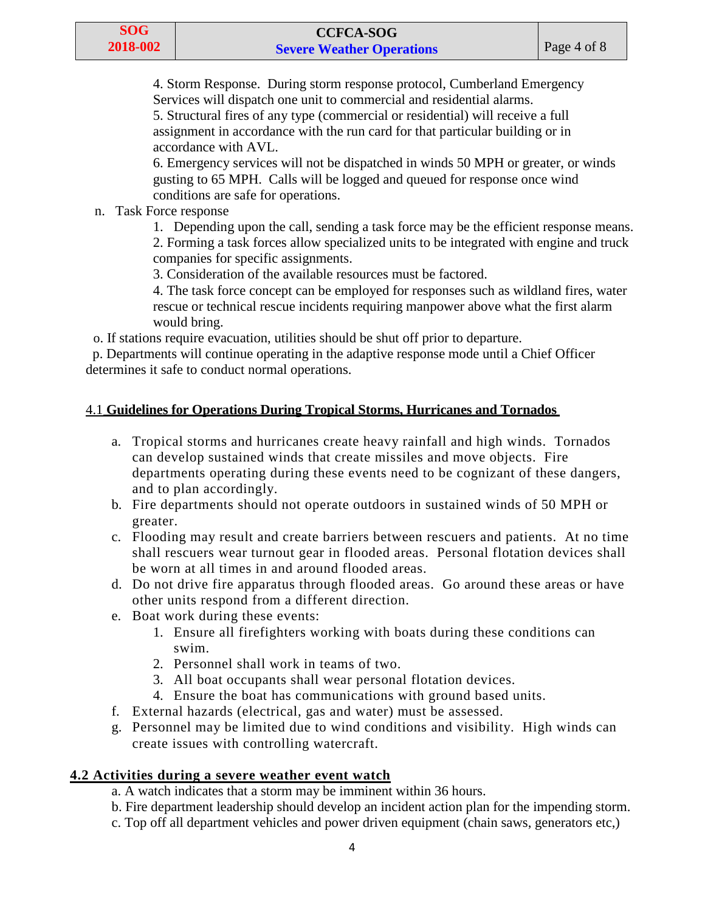4. Storm Response. During storm response protocol, Cumberland Emergency Services will dispatch one unit to commercial and residential alarms.

5. Structural fires of any type (commercial or residential) will receive a full assignment in accordance with the run card for that particular building or in accordance with AVL.

6. Emergency services will not be dispatched in winds 50 MPH or greater, or winds gusting to 65 MPH. Calls will be logged and queued for response once wind conditions are safe for operations.

### n. Task Force response

1. Depending upon the call, sending a task force may be the efficient response means.

2. Forming a task forces allow specialized units to be integrated with engine and truck companies for specific assignments.

3. Consideration of the available resources must be factored.

4. The task force concept can be employed for responses such as wildland fires, water rescue or technical rescue incidents requiring manpower above what the first alarm would bring.

o. If stations require evacuation, utilities should be shut off prior to departure.

p. Departments will continue operating in the adaptive response mode until a Chief Officer determines it safe to conduct normal operations.

## 4.1 **Guidelines for Operations During Tropical Storms, Hurricanes and Tornados**

- a. Tropical storms and hurricanes create heavy rainfall and high winds. Tornados can develop sustained winds that create missiles and move objects. Fire departments operating during these events need to be cognizant of these dangers, and to plan accordingly.
- b. Fire departments should not operate outdoors in sustained winds of 50 MPH or greater.
- c. Flooding may result and create barriers between rescuers and patients. At no time shall rescuers wear turnout gear in flooded areas. Personal flotation devices shall be worn at all times in and around flooded areas.
- d. Do not drive fire apparatus through flooded areas. Go around these areas or have other units respond from a different direction.
- e. Boat work during these events:
	- 1. Ensure all firefighters working with boats during these conditions can swim.
	- 2. Personnel shall work in teams of two.
	- 3. All boat occupants shall wear personal flotation devices.
	- 4. Ensure the boat has communications with ground based units.
- f. External hazards (electrical, gas and water) must be assessed.
- g. Personnel may be limited due to wind conditions and visibility. High winds can create issues with controlling watercraft.

## **4.2 Activities during a severe weather event watch**

- a. A watch indicates that a storm may be imminent within 36 hours.
- b. Fire department leadership should develop an incident action plan for the impending storm.
- c. Top off all department vehicles and power driven equipment (chain saws, generators etc,)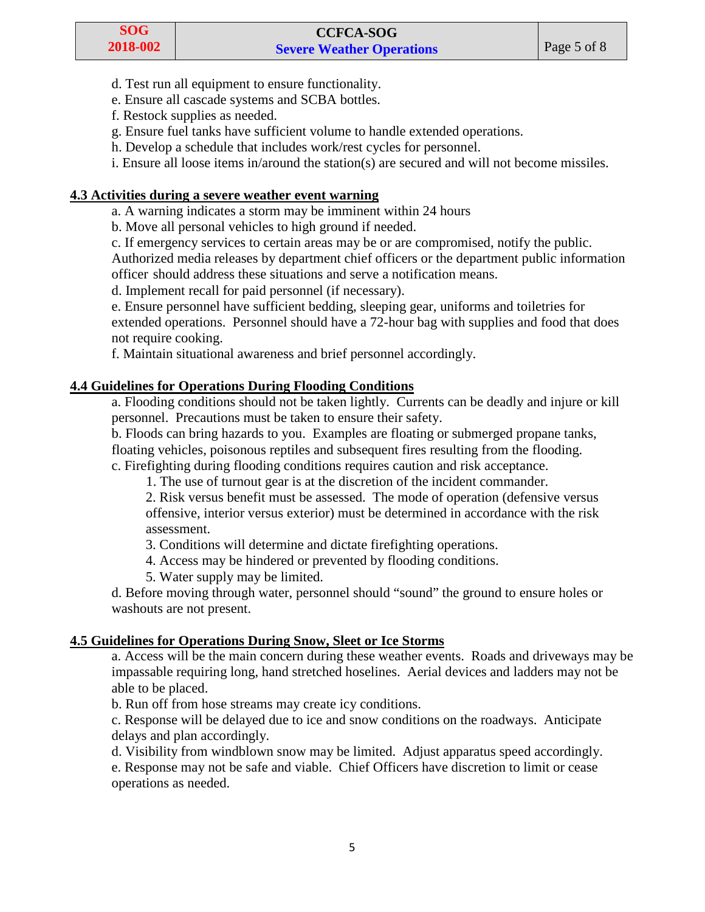- d. Test run all equipment to ensure functionality.
- e. Ensure all cascade systems and SCBA bottles.
- f. Restock supplies as needed.
- g. Ensure fuel tanks have sufficient volume to handle extended operations.
- h. Develop a schedule that includes work/rest cycles for personnel.
- i. Ensure all loose items in/around the station(s) are secured and will not become missiles.

### **4.3 Activities during a severe weather event warning**

- a. A warning indicates a storm may be imminent within 24 hours
- b. Move all personal vehicles to high ground if needed.
- c. If emergency services to certain areas may be or are compromised, notify the public.

Authorized media releases by department chief officers or the department public information officer should address these situations and serve a notification means.

d. Implement recall for paid personnel (if necessary).

e. Ensure personnel have sufficient bedding, sleeping gear, uniforms and toiletries for extended operations. Personnel should have a 72-hour bag with supplies and food that does not require cooking.

f. Maintain situational awareness and brief personnel accordingly.

### **4.4 Guidelines for Operations During Flooding Conditions**

a. Flooding conditions should not be taken lightly. Currents can be deadly and injure or kill personnel. Precautions must be taken to ensure their safety.

b. Floods can bring hazards to you. Examples are floating or submerged propane tanks, floating vehicles, poisonous reptiles and subsequent fires resulting from the flooding.

c. Firefighting during flooding conditions requires caution and risk acceptance.

1. The use of turnout gear is at the discretion of the incident commander.

2. Risk versus benefit must be assessed. The mode of operation (defensive versus offensive, interior versus exterior) must be determined in accordance with the risk assessment.

3. Conditions will determine and dictate firefighting operations.

- 4. Access may be hindered or prevented by flooding conditions.
- 5. Water supply may be limited.

d. Before moving through water, personnel should "sound" the ground to ensure holes or washouts are not present.

## **4.5 Guidelines for Operations During Snow, Sleet or Ice Storms**

a. Access will be the main concern during these weather events. Roads and driveways may be impassable requiring long, hand stretched hoselines. Aerial devices and ladders may not be able to be placed.

b. Run off from hose streams may create icy conditions.

c. Response will be delayed due to ice and snow conditions on the roadways. Anticipate delays and plan accordingly.

d. Visibility from windblown snow may be limited. Adjust apparatus speed accordingly. e. Response may not be safe and viable. Chief Officers have discretion to limit or cease operations as needed.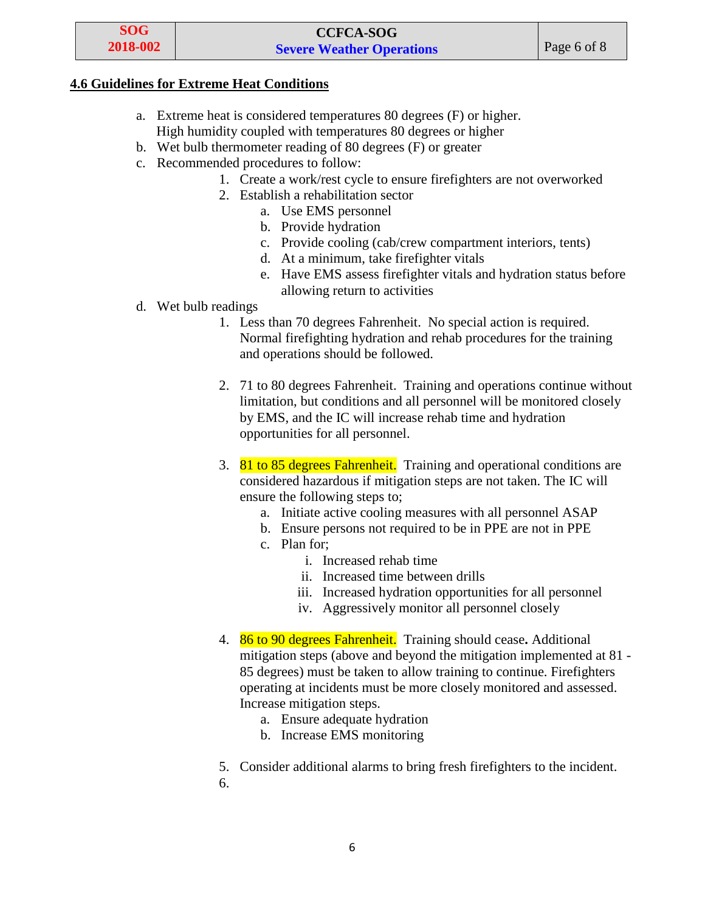#### **4.6 Guidelines for Extreme Heat Conditions**

- a. Extreme heat is considered temperatures 80 degrees (F) or higher. High humidity coupled with temperatures 80 degrees or higher
- b. Wet bulb thermometer reading of 80 degrees (F) or greater
- c. Recommended procedures to follow:
	- 1. Create a work/rest cycle to ensure firefighters are not overworked
	- 2. Establish a rehabilitation sector
		- a. Use EMS personnel
		- b. Provide hydration
		- c. Provide cooling (cab/crew compartment interiors, tents)
		- d. At a minimum, take firefighter vitals
		- e. Have EMS assess firefighter vitals and hydration status before allowing return to activities
- d. Wet bulb readings
	- 1. Less than 70 degrees Fahrenheit. No special action is required. Normal firefighting hydration and rehab procedures for the training and operations should be followed.
	- 2. 71 to 80 degrees Fahrenheit. Training and operations continue without limitation, but conditions and all personnel will be monitored closely by EMS, and the IC will increase rehab time and hydration opportunities for all personnel.
	- 3. 81 to 85 degrees Fahrenheit. Training and operational conditions are considered hazardous if mitigation steps are not taken. The IC will ensure the following steps to;
		- a. Initiate active cooling measures with all personnel ASAP
		- b. Ensure persons not required to be in PPE are not in PPE
		- c. Plan for;
			- i. Increased rehab time
			- ii. Increased time between drills
			- iii. Increased hydration opportunities for all personnel
			- iv. Aggressively monitor all personnel closely
	- 4. 86 to 90 degrees Fahrenheit. Training should cease**.** Additional mitigation steps (above and beyond the mitigation implemented at 81 - 85 degrees) must be taken to allow training to continue. Firefighters operating at incidents must be more closely monitored and assessed. Increase mitigation steps.
		- a. Ensure adequate hydration
		- b. Increase EMS monitoring

5. Consider additional alarms to bring fresh firefighters to the incident.

6.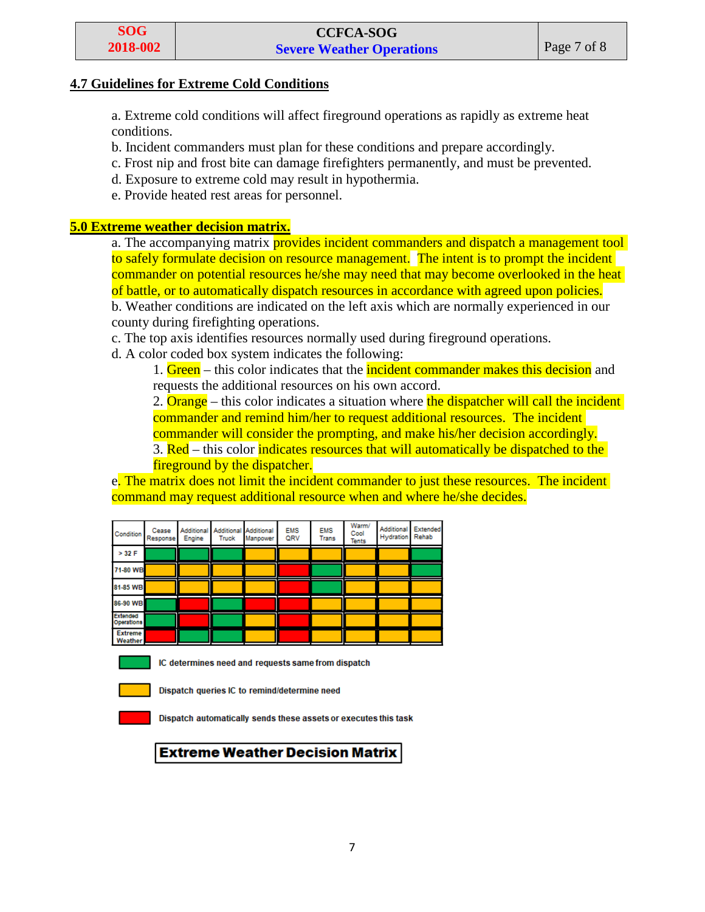#### **4.7 Guidelines for Extreme Cold Conditions**

a. Extreme cold conditions will affect fireground operations as rapidly as extreme heat conditions.

- b. Incident commanders must plan for these conditions and prepare accordingly.
- c. Frost nip and frost bite can damage firefighters permanently, and must be prevented.
- d. Exposure to extreme cold may result in hypothermia.
- e. Provide heated rest areas for personnel.

#### **5.0 Extreme weather decision matrix.**

a. The accompanying matrix **provides incident commanders and dispatch a management tool** to safely formulate decision on resource management. The intent is to prompt the incident commander on potential resources he/she may need that may become overlooked in the heat of battle, or to automatically dispatch resources in accordance with agreed upon policies. b. Weather conditions are indicated on the left axis which are normally experienced in our

county during firefighting operations.

- c. The top axis identifies resources normally used during fireground operations.
- d. A color coded box system indicates the following:

1. Green – this color indicates that the *incident commander makes this decision* and requests the additional resources on his own accord.

2. **Orange** – this color indicates a situation where the dispatcher will call the incident commander and remind him/her to request additional resources. The incident commander will consider the prompting, and make his/her decision accordingly. 3. Red – this color indicates resources that will automatically be dispatched to the

fireground by the dispatcher.

e. The matrix does not limit the incident commander to just these resources. The incident command may request additional resource when and where he/she decides.

| Condition                     | Cease<br>Response | Additional<br>Engine | Truck | <b>Additional Additional</b><br>Manpower | <b>EMS</b><br>QRV | <b>EMS</b><br><b>Trans</b> | Warm/<br>Cool<br>Tents | Additional<br><b>Hydration</b> | Extended<br>Rehab |
|-------------------------------|-------------------|----------------------|-------|------------------------------------------|-------------------|----------------------------|------------------------|--------------------------------|-------------------|
| $>$ 32 F                      |                   |                      |       |                                          |                   |                            |                        |                                |                   |
| 71-80 WB                      |                   |                      |       |                                          |                   |                            |                        |                                |                   |
| 81-85 WB                      |                   |                      |       |                                          |                   |                            |                        |                                |                   |
| 86-90 WB                      |                   |                      |       |                                          |                   |                            |                        |                                |                   |
| <b>Extended</b><br>Operations |                   |                      |       |                                          |                   |                            |                        |                                |                   |
| <b>Extreme</b><br>Weather     |                   |                      |       |                                          |                   |                            |                        |                                |                   |



IC determines need and requests same from dispatch

Dispatch queries IC to remind/determine need

Dispatch automatically sends these assets or executes this task